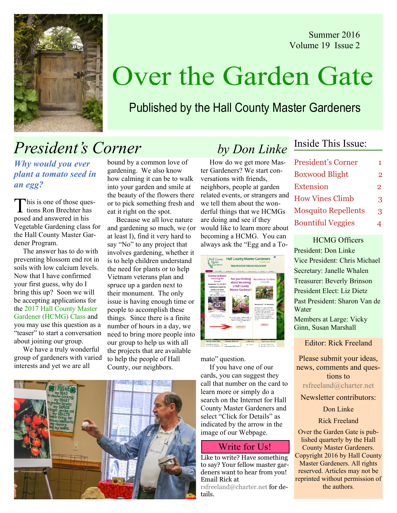Summer 2016 Volume 19 Issue 2



# Over the Garden Gate

### Published by the Hall County Master Gardeners

## President's Corner by Don Linke

Why would you ever plant a tomato seed in an egg?

This is one of those ques-<br>tions Ron Brechter has posed and answered in his Vegetable Gardening class for the Hall County Master Gardener Program.

 The answer has to do with preventing blossom end rot in soils with low calcium levels. Now that I have confirmed your first guess, why do I bring this up? Soon we will be accepting applications for the 2017 Hall County Master Gardener (HCMG) Class and you may use this question as a "teaser" to start a conversation about joining our group.

 We have a truly wonderful group of gardeners with varied interests and yet we are all

bound by a common love of gardening. We also know how calming it can be to walk into your garden and smile at the beauty of the flowers there or to pick something fresh and eat it right on the spot.

 Because we all love nature and gardening so much, we (or at least I), find it very hard to say "No" to any project that involves gardening, whether it is to help children understand the need for plants or to help Vietnam veterans plan and spruce up a garden next to their monument. The only issue is having enough time or people to accomplish these things. Since there is a finite number of hours in a day, we need to bring more people into our group to help us with all the projects that are available to help the people of Hall County, our neighbors.



 How do we get more Master Gardeners? We start conversations with friends, neighbors, people at garden related events, or strangers and we tell them about the wonderful things that we HCMGs are doing and see if they would like to learn more about becoming a HCMG. You can always ask the "Egg and a To-

| Ask-a-Master Gardener<br>va per Grandes                                                                            |
|--------------------------------------------------------------------------------------------------------------------|
|                                                                                                                    |
|                                                                                                                    |
|                                                                                                                    |
|                                                                                                                    |
|                                                                                                                    |
|                                                                                                                    |
| Here guardians" We have seawers'                                                                                   |
| and, be see looking at the high County.                                                                            |
| Service Fields and no more. If you<br>Said seals & Seat-Sit Schlage Stellers<br>or portachline trait County Machan |
| Sedeser Growline with all of your home.<br>to to their contons, of a court have<br>January, will have been by      |
| teacher are reports, loand line too.<br>morrier of source and they constant                                        |
|                                                                                                                    |
| <b>Contact Inc.</b>                                                                                                |
|                                                                                                                    |

mato" question.

 If you have one of our cards, you can suggest they call that number on the card to learn more or simply do a search on the Internet for Hall County Master Gardeners and select "Click for Details" as indicated by the arrow in the image of our Webpage.

### Write for Us!

Like to write? Have something to say? Your fellow master gardeners want to hear from you! Email Rick at rsfreeland@charter.net for de-

### Inside This Issue:

| <b>President's Corner</b>  | 1              |
|----------------------------|----------------|
| <b>Boxwood Blight</b>      | 2              |
| <b>Extension</b>           | $\overline{2}$ |
| <b>How Vines Climb</b>     | 3              |
| <b>Mosquito Repellents</b> | 3              |
| <b>Bountiful Veggies</b>   | 4              |

HCMG Officers President: Don Linke Vice President: Chris Michael Secretary: Janelle Whalen Treasurer: Beverly Brinson President Elect: Liz Dietz Past President: Sharon Van de Water Members at Large: Vicky Ginn, Susan Marshall

Editor: Rick Freeland

Please submit your ideas, news, comments and questions to rsfreeland@charter.net

Newsletter contributors:

#### Don Linke

#### Rick Freeland

Over the Garden Gate is published quarterly by the Hall County Master Gardeners. Copyright 2016 by Hall County Master Gardeners. All rights reserved. Articles may not be reprinted without permission of the authors.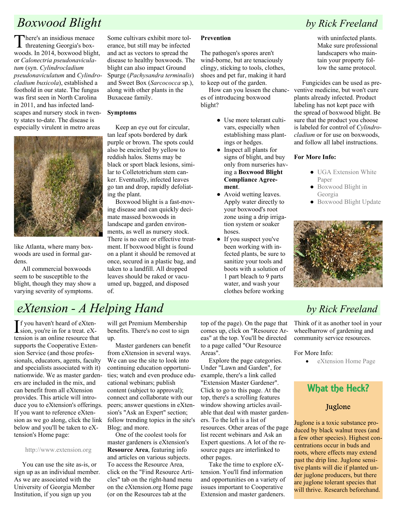### Boxwood Blight by Rick Freeland

There's an insidious menace<br>threatening Georgia's boxwoods. In 2014, boxwood blight, or Calonectria pseudonaviculatum (syn. Cylindrocladium pseudonaviculatum and Cylindrocladium buxicola), established a foothold in our state. The fungus was first seen in North Carolina in 2011, and has infected landscapes and nursery stock in twenty states to-date. The disease is especially virulent in metro areas



like Atlanta, where many boxwoods are used in formal gardens.

 All commercial boxwoods seem to be susceptible to the blight, though they may show a varying severity of symptoms.

Some cultivars exhibit more tolerance, but still may be infected and act as vectors to spread the disease to healthy boxwoods. The blight can also impact Ground Spurge (Pachysandra terminalis) and Sweet Box (Sarcococca sp.), along with other plants in the Buxaceae family.

#### Symptoms

 Keep an eye out for circular, tan leaf spots bordered by dark purple or brown. The spots could also be encircled by yellow to reddish halos. Stems may be black or sport black lesions, similar to Colletotrichum stem canker. Eventually, infected leaves go tan and drop, rapidly defoliating the plant.

 Boxwood blight is a fast-moving disease and can quickly decimate massed boxwoods in landscape and garden environments, as well as nursery stock.

There is no cure or effective treatment. If boxwood blight is found on a plant it should be removed at once, secured in a plastic bag, and taken to a landfill. All dropped leaves should be raked or vacuumed up, bagged, and disposed of.

#### Prevention

The pathogen's spores aren't wind-borne, but are tenaciously clingy, sticking to tools, clothes, shoes and pet fur, making it hard to keep out of the garden.

 How can you lessen the chances of introducing boxwood blight?

- Use more tolerant cultivars, especially when establishing mass plantings or hedges.
- Inspect all plants for signs of blight, and buy only from nurseries having a Boxwood Blight Compliance Agreement.
- Avoid wetting leaves. Apply water directly to your boxwood's root zone using a drip irrigation system or soaker hoses.
- If you suspect you've been working with infected plants, be sure to sanitize your tools and boots with a solution of 1 part bleach to 9 parts water, and wash your clothes before working

with uninfected plants. Make sure professional landscapers who maintain your property follow the same protocol.

 Fungicides can be used as preventive medicine, but won't cure plants already infected. Product labeling has not kept pace with the spread of boxwood blight. Be sure that the product you choose is labeled for control of Cylindrocladium or for use on boxwoods, and follow all label instructions.

#### For More Info:

- UGA Extension White Paper
- Boxwood Blight in Georgia
- Boxwood Blight Update



Think of it as another tool in your wheelbarrow of gardening and community service resources.

For More Info:

• eXtension Home Page

## What the Heck?

#### Juglone

Juglone is a toxic substance produced by black walnut trees (and a few other species). Highest concentrations occur in buds and roots, where effects may extend past the drip line. Juglone sensitive plants will die if planted under juglone producers, but there are juglone tolerant species that will thrive. Research beforehand.

## eXtension - A Helping Hand by Rick Freeland

If you haven't heard of eXten-<br>sion, you're in for a treat. eXsion, you're in for a treat. eXtension is an online resource that supports the Cooperative Extension Service (and those professionals, educators, agents, faculty and specialists associated with it) nationwide. We as master gardeners are included in the mix, and can benefit from all eXtension provides. This article will introduce you to eXtension's offerings. If you want to reference eXtension as we go along, click the link below and you'll be taken to eXtension's Home page:

#### http://www.extension.org

 You can use the site as-is, or sign up as an individual member. As we are associated with the University of Georgia Member Institution, if you sign up you

will get Premium Membership benefits. There's no cost to sign up.

 Master gardeners can benefit from eXtension in several ways. We can use the site to look into continuing education opportunities; watch and even produce educational webinars; publish content (subject to approval); connect and collaborate with our peers; answer questions in eXtension's "Ask an Expert" section; follow trending topics in the site's Blog; and more.

 One of the coolest tools for master gardeners is eXtension's Resource Area, featuring info and articles on various subjects. To access the Resource Area, click on the "Find Resource Articles" tab on the right-hand menu on the eXtension.org Home page (or on the Resources tab at the

top of the page). On the page that comes up, click on "Resource Areas" at the top. You'll be directed to a page called "Our Resource Areas".

 Explore the page categories. Under "Lawn and Garden", for example, there's a link called "Extension Master Gardener". Click to go to this page. At the top, there's a scrolling features window showing articles available that deal with master gardeners. To the left is a list of resources. Other areas of the page list recent webinars and Ask an Expert questions. A lot of the resource pages are interlinked to other pages.

 Take the time to explore eXtension. You'll find information and opportunities on a variety of issues important to Cooperative Extension and master gardeners.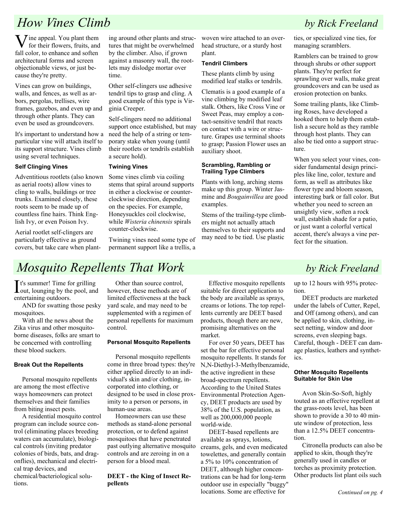### **How Vines Climb** by Rick Freeland

 $\sum$  *i*ne appeal. You plant them for their flowers, fruits, and fall color, to enhance and soften architectural forms and screen objectionable views, or just because they're pretty.

Vines can grow on buildings, walls, and fences, as well as arbors, pergolas, trellises, wire frames, gazebos, and even up and through other plants. They can even be used as groundcovers.

It's important to understand how a particular vine will attach itself to its support structure. Vines climb using several techniques.

#### Self Clinging Vines

Adventitious rootlets (also known as aerial roots) allow vines to cling to walls, buildings or tree trunks. Examined closely, these roots seem to be made up of countless fine hairs. Think English Ivy, or even Poison Ivy.

Aerial rootlet self-clingers are particularly effective as ground covers, but take care when planting around other plants and structures that might be overwhelmed by the climber. Also, if grown against a masonry wall, the rootlets may dislodge mortar over time.

Other self-clingers use adhesive tendril tips to grasp and cling. A good example of this type is Virginia Creeper.

Self-clingers need no additional support once established, but may need the help of a string or temporary stake when young (until their rootlets or tendrils establish a secure hold).

#### Twining Vines

Some vines climb via coiling stems that spiral around supports in either a clockwise or counterclockwise direction, depending on the species. For example, Honeysuckles coil clockwise, while Wisteria chinensis spirals counter-clockwise.

Twining vines need some type of permanent support like a trellis, a woven wire attached to an overhead structure, or a sturdy host plant.

#### Tendril Climbers

These plants climb by using modified leaf stalks or tendrils.

Clematis is a good example of a vine climbing by modified leaf stalk. Others, like Cross Vine or Sweet Peas, may employ a contact-sensitive tendril that reacts on contact with a wire or structure. Grapes use terminal shoots to grasp; Passion Flower uses an auxiliary shoot.

#### Scrambling, Rambling or Trailing Type Climbers

Plants with long, arching stems make up this group. Winter Jasmine and Bougainvillea are good examples.

Stems of the trailing-type climbers might not actually attach themselves to their supports and may need to be tied. Use plastic

ties, or specialized vine ties, for managing scramblers.

Ramblers can be trained to grow through shrubs or other support plants. They're perfect for sprawling over walls, make great groundcovers and can be used as erosion protection on banks.

Some trailing plants, like Climbing Roses, have developed a hooked thorn to help them establish a secure hold as they ramble through host plants. They can also be tied onto a support structure.

When you select your vines, consider fundamental design principles like line, color, texture and form, as well as attributes like flower type and bloom season, interesting bark or fall color. But whether you need to screen an unsightly view, soften a rock wall, establish shade for a patio, or just want a colorful vertical accent, there's always a vine perfect for the situation.

### Mosquito Repellents That Work by Rick Freeland

It's summer! Time for grilling<br>dout, lounging by the pool, and out, lounging by the pool, and entertaining outdoors.

 AND for swatting those pesky mosquitoes.

 With all the news about the Zika virus and other mosquitoborne diseases, folks are smart to be concerned with controlling these blood suckers.

#### Break Out the Repellents

 Personal mosquito repellents are among the most effective ways homeowners can protect themselves and their families from biting insect pests.

 A residential mosquito control program can include source control (eliminating places breeding waters can accumulate), biological controls (inviting predator colonies of birds, bats, and dragonflies), mechanical and electrical trap devices, and chemical/bacteriological solutions.

 Other than source control, however, these methods are of limited effectiveness at the back yard scale, and may need to be supplemented with a regimen of personal repellents for maximum control.

#### Personal Mosquito Repellents

 Personal mosquito repellents come in three broad types: they're either applied directly to an individual's skin and/or clothing, incorporated into clothing, or designed to be used in close proximity to a person or persons, in human-use areas.

 Homeowners can use these methods as stand-alone personal protection, or to defend against mosquitoes that have penetrated past outlying alternative mosquito controls and are zeroing in on a person for a blood meal.

DEET - the King of Insect Repellents

 Effective mosquito repellents suitable for direct application to the body are available as sprays, creams or lotions. The top repellents currently are DEET based products, though there are new, promising alternatives on the market.

 For over 50 years, DEET has set the bar for effective personal mosquito repellents. It stands for N,N-Diethyl-3-Methylbenzamide, the active ingredient in these broad-spectrum repellents. According to the United States Environmental Protection Agency, DEET products are used by 38% of the U.S. population, as well as 200,000,000 people world-wide.

 DEET-based repellents are available as sprays, lotions, creams, gels, and even medicated towelettes, and generally contain a 5% to 10% concentration of DEET, although higher concentrations can be had for long-term outdoor use in especially "buggy" locations. Some are effective for

up to 12 hours with 95% protection.

 DEET products are marketed under the labels of Cutter, Repel, and Off (among others), and can be applied to skin, clothing, insect netting, window and door screens, even sleeping bags. Careful, though - DEET can damage plastics, leathers and synthetics.

#### Other Mosquito Repellents Suitable for Skin Use

 Avon Skin-So-Soft, highly touted as an effective repellent at the grass-roots level, has been shown to provide a 30 to 40 minute window of protection, less than a 12.5% DEET concentration.

 Citronella products can also be applied to skin, though they're generally used in candles or torches as proximity protection. Other products list plant oils such